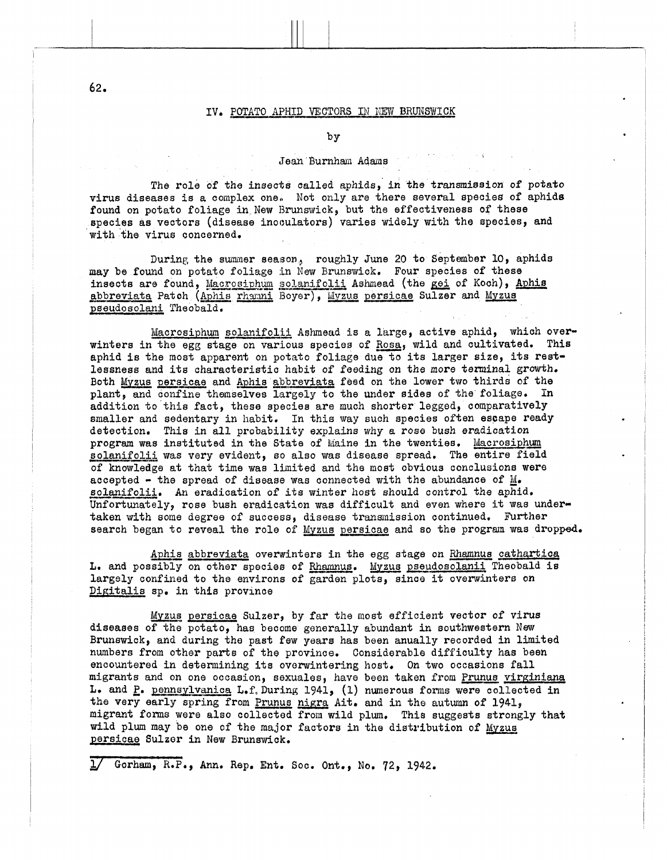## IV. POTATO APHID VECTORS IN NEW BRUNSWICK

by

## Jean Burnham Adams

The role of the insects called aphids, in the transmission of potato virus diseases is a complex one. Not only are there several species of aphids found on potato foliage in New Brunswick, but the effectiveness of these species as vectors (disease inooulators) varies widely with the species, and with fhe virus concerned.

During the summer season, roughly June 20 to September 10, aphids may be found on potato foliage in New Brunswick. Four species of these may be found on potato foliage in New Brunswick. Four species of these insects are found, Macrosiphum solanifolii Ashmead (the gei of Koch), Aphis abbreviata Patch (Aphis rhamni Boyer), Myzus persicae Sulzer and Myzus pseudosolani Theobald.

Macrosiphum solanifolii Ashmead is a large, active aphid, which overwinters in the egg stage on various species of Rosa, wild and cultivated. This aphid is the most apparent on potato foliage due to its larger size, its restlessness and its characteristic habit of feeding on the more terminal growth. Both Myzus persicae and Aphis abbreviata feed on the lower two thirds of the plant, and confine themselves largely to the under sides of the foliage. In addition to this fact, these species are much shorter legged, comparatively smaller and sedentary in habit. In this way such species often escape ready detection. This in all probability explains why a *rose* bush eradication program was instituted in the State of Maine in the twenties. Macrosiphum solanifolii was very evident, so also was disease spread. The entire field of knowledge at that time was limited and the most obvious conclusions were accepted - the spread of disease was connected with the abundance of M.<br>solanifolii. An eradication of its winter host should control the aphid.<br>U accepted - the spread of disease was connected with the abundance of  $M_{\bullet}$ . Unfortunately, **rose** bush eradication was difficult and even where it was undertaken with **some** degree of success, disease transinission continued, Further search began to reveal the role of Myzus persicae and so the program was dropped. solanifolii. An eradication of its winter host should control the aphid.

Aphis abbreviata overwinters in the egg stage on Rhamnus cathartica L. and possibly on other species of Rhamnus. Myzus pseudosolanii Theobald is largely confined to the environs of garden plots, since it overwinters on Digitalis sp. in this province

Myzus persicae Sulzer, by far the most efficient vector of virus diseases of the potato, has become generally abundant in southwestern **New**  Brunswick, and during the past **few** years has been anually recorded in limited numbers from other parts of the province, Considerable difficulty has been encountered in determining its overwintering host. On two occasions fall migrants and on one occasion, sexuales, have been taken from Prunus virginiana **L,** and **E.** pennsylvunica L.f,During 1941, (1) numerous forms were collected in the very early spring from Prunus nigra Ait. and in the autumn of 1941, migrant forms **were** also collectod from wild plum, This suggests strongly that wild plum may be one of the major factors in the distribution of Myzus persicae Sulzor in New Brunswick. **unigrants and on one occasion, sexuales, have been taken f<br>
<b>L.** and P. pennsylvanica L.f. During 1941, (1) numerous for<br>
the very early spring from <u>Prunus nigra</u> Ait. and in the a<br>
migrant forms were also collected from

**82.**